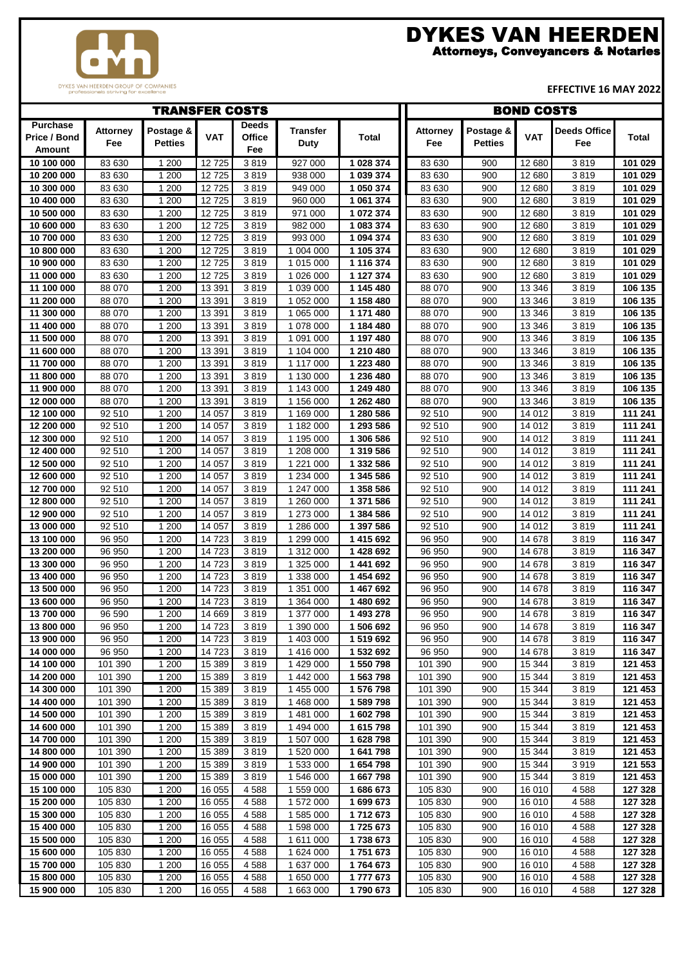# Attorneys, Conveyancers & Notaries DYKES VAN HEERDEN

**DYKES VAN HEERDEN GROUP OF COMPANIES**<br>professionals striving for excellence

# **EFFECTIVE 16 MAY 2022**

|                                           |                        | <b>TRANSFER COSTS</b><br><b>BOND COSTS</b> |                   |                               |                         |                        |                        |                             |                  |                            |                    |
|-------------------------------------------|------------------------|--------------------------------------------|-------------------|-------------------------------|-------------------------|------------------------|------------------------|-----------------------------|------------------|----------------------------|--------------------|
| <b>Purchase</b><br>Price / Bond<br>Amount | <b>Attorney</b><br>Fee | Postage &<br><b>Petties</b>                | <b>VAT</b>        | <b>Deeds</b><br>Office<br>Fee | <b>Transfer</b><br>Duty | <b>Total</b>           | <b>Attorney</b><br>Fee | Postage &<br><b>Petties</b> | <b>VAT</b>       | <b>Deeds Office</b><br>Fee | <b>Total</b>       |
| 10 100 000                                | 83 630                 | 1 200                                      | 12725             | 3819                          | 927 000                 | 1 028 374              | 83 630                 | 900                         | 12 680           | 3819                       | 101 029            |
| 10 200 000                                | 83 630                 | 1 200                                      | 12725             | 3819                          | 938 000                 | 1 039 374              | 83 630                 | 900                         | 12 680           | 3819                       | 101 029            |
| 10 300 000                                | 83 630                 | 1 200                                      | 12725             | 3819                          | 949 000                 | 1 050 374              | 83 630                 | 900                         | 12 680           | 3819                       | 101 029            |
| 10 400 000                                | 83 630                 | 1 200                                      | 12725             | 3819                          | 960 000                 | 1 061 374              | 83 630                 | 900                         | 12 680           | 3819                       | 101 029            |
| 10 500 000                                | 83 630                 | 1 200                                      | 12725             | 3819                          | 971 000                 | 1 072 374              | 83 630                 | 900                         | 12 680           | 3819                       | 101 029            |
| 10 600 000                                | 83 630                 | 1 200                                      | 12725             | 3819                          | 982 000                 | 1 083 374              | 83 630                 | 900                         | 12 680           | 3819                       | 101 029            |
| 10 700 000                                | 83 630                 | 1 200                                      | 12725             | 3819                          | 993 000                 | 1 094 374              | 83 630                 | 900                         | 12 680           | 3819                       | 101 029            |
| 10 800 000                                | 83 630                 | 1 200                                      | 12725             | 3819                          | 1 004 000               | 1 105 374              | 83 630                 | 900                         | 12 680           | 3819                       | 101 029            |
| 10 900 000                                | 83 630                 | 1 200                                      | 12725             | 3819                          | 1 015 000               | 1 116 374              | 83 630                 | 900                         | 12 680           | 3819                       | 101 029            |
| 11 000 000                                | 83 630                 | 1 200                                      | 12725             | 3819                          | 1 026 000               | 1 127 374              | 83 630                 | 900                         | 12 680           | 3819                       | 101 029            |
| 11 100 000                                | 88 070                 | 1 200                                      | 13 3 91           | 3819                          | 1 039 000               | 1 145 480              | 88 070                 | 900                         | 13 346           | 3819                       | 106 135            |
| 11 200 000                                | 88 070                 | 1 200                                      | 13 3 9 1          | 3819                          | 1 052 000               | 1 158 480              | 88 070                 | 900                         | 13 346           | 3819                       | 106 135            |
| 11 300 000                                | 88 070                 | 1 200                                      | 13 3 91           | 3819                          | 1 065 000               | 1 171 480              | 88 070                 | 900                         | 13 346           | 3819                       | 106 135            |
| 11 400 000                                | 88 070                 | 1 200                                      | 13 3 91           | 3819                          | 1 078 000               | 1 184 480              | 88 070                 | 900                         | 13 346           | 3819                       | 106 135            |
| 11 500 000                                | 88 070                 | 1 200                                      | 13 3 9 1          | 3819                          | 1 091 000               | 1 197 480              | 88 070                 | 900                         | 13 346           | 3819                       | 106 135            |
| 11 600 000                                | 88 070                 | 1 200                                      | 13 3 9 1          | 3819                          | 1 104 000               | 1 210 480              | 88 070                 | 900                         | 13 346           | 3819                       | 106 135            |
| 11 700 000                                | 88 070                 | 1 200                                      | 13 3 91           | 3819                          | $\overline{1}$ 117 000  | 1 223 480              | 88 070                 | 900                         | 13 3 46          | 3819                       | 106 135            |
| 11 800 000                                | 88 070                 | 1 200                                      | 13 3 9 1          | 3819                          | 1 130 000               | 1 236 480              | 88 070                 | 900                         | 13 346           | 3819                       | 106 135            |
| 11 900 000                                | 88 070                 | 1 200                                      | 13 391            | 3819                          | 1 143 000               | 1 249 480              | 88 070                 | 900                         | 13 346           | 3819                       | 106 135            |
| 12 000 000                                | 88 070                 | 1 200                                      | 13 3 91           | 3819                          | 1 156 000               | 1 262 480              | 88 070                 | 900                         | 13 346           | 3819                       | 106 135            |
| 12 100 000                                | 92 510                 | 1 200                                      | 14 057            | 3819                          | 1 169 000               | 1 280 586              | 92 510                 | 900                         | 14 012           | 3819                       | 111 241            |
| 12 200 000                                | 92 510                 | 1 200                                      | 14 057            | 3819                          | 1 182 000               | 1 293 586              | 92 510                 | 900                         | 14 012           | 3819                       | 111 241            |
| 12 300 000                                | 92 510                 | 1 200                                      | 14 057            | 3819                          | $\overline{1}$ 195 000  | 1 306 586              | 92 510                 | 900                         | 14 012           | 3819                       | 111 241            |
| 12 400 000                                | 92 510                 | 1 200                                      | 14 057            | 3819                          | 1 208 000               | 1 319 586              | 92 510                 | 900                         | 14 012           | 3819                       | 111 241            |
| 12 500 000                                | 92 510                 | 1 200                                      | 14 057            | 3819                          | 1 221 000               | 1 332 586              | 92 510                 | 900                         | 14 012           | 3819                       | 111 241            |
| 12 600 000                                | 92 510                 | 1 200                                      | 14 057            | 3819                          | 1 234 000               | 1 345 586              | 92 510                 | 900                         | 14 012           | 3819                       | 111 241            |
| 12 700 000                                | 92 510                 | 1 200                                      | 14 057            | 3819                          | 1 247 000               | 1 358 586              | 92 510                 | 900                         | 14 012           | 3819                       | 111 241            |
| 12 800 000                                | 92 510                 | 1 200                                      | 14 057            | 3819                          | 1 260 000               | 1 371 586              | 92 510                 | 900                         | 14 012           | 3819                       | 111 241            |
| 12 900 000                                | 92 510                 | 1 200                                      | 14 057            | 3819                          | 1 273 000               | 1 384 586              | 92 510                 | 900                         | 14 012           | 3819                       | 111 241            |
| 13 000 000<br>13 100 000                  | 92 510<br>96 950       | 1 200<br>1 200                             | 14 057<br>14 7 23 | 3819<br>3819                  | 1 286 000<br>1 299 000  | 1 397 586<br>1 415 692 | 92 510                 | 900<br>900                  | 14 012<br>14 678 | 3819<br>3819               | 111 241<br>116 347 |
| 13 200 000                                | 96 950                 | 1 200                                      | 14 7 23           | 3819                          | 1 312 000               | 1 428 692              | 96 950<br>96 950       | 900                         | 14 678           | 3819                       | 116 347            |
| 13 300 000                                | 96 950                 | 1 200                                      | 14 7 23           | 3819                          | 1 325 000               | 1 441 692              | 96 950                 | 900                         | 14 678           | 3819                       | 116 347            |
| 13 400 000                                | 96 950                 | 1 200                                      | 14 7 23           | 3819                          | 1 338 000               | 1 454 692              | 96 950                 | 900                         | 14 678           | 3819                       | 116 347            |
| 13 500 000                                | 96 950                 | 1 200                                      | 14723             | 3819                          | 1 351 000               | 1 467 692              | 96 950                 | 900                         | 14 678           | 3819                       | 116 347            |
| 13 600 000                                | 96 950                 | 1 200                                      | 14 7 23           | 3819                          | 1 364 000               | 1 480 692              | 96 950                 | 900                         | 14 678           | 3819                       | 116 347            |
| 13 700 000                                | 96 590                 | 1 200                                      | 14 6 69           | 3819                          | 1 377 000               | 1 493 278              | 96 950                 | 900                         | 14 678           | 3819                       | 116 347            |
| 13 800 000                                | 96 950                 | 1 200                                      | 14 723            | 3819                          | 1 390 000               | 1 506 692              | 96 950                 | 900                         | 14 678           | 3819                       | 116 347            |
| 13 900 000                                | 96 950                 | 1 200                                      | 14723             | 3819                          | 1 403 000               | 1519692                | 96 950                 | 900                         | 14 678           | 3819                       | 116 347            |
| 14 000 000                                | 96 950                 | 1 200                                      | 14 7 23           | 3819                          | 1 416 000               | 1 532 692              | 96 950                 | 900                         | 14 678           | 3819                       | 116 347            |
| 14 100 000                                | 101 390                | 1 200                                      | 15 3 8 9          | 3819                          | 1 429 000               | 1 550 798              | 101 390                | 900                         | 15 344           | 3819                       | 121 453            |
| 14 200 000                                | 101 390                | 1 200                                      | 15 3 89           | 3819                          | 1 442 000               | 1 563 798              | 101 390                | 900                         | 15 344           | 3819                       | 121 453            |
| 14 300 000                                | 101 390                | 1 200                                      | 15 3 8 9          | 3819                          | 1 455 000               | 1576798                | 101 390                | 900                         | 15 344           | 3819                       | 121 453            |
| 14 400 000                                | 101 390                | 1 200                                      | 15 3 89           | 3819                          | 1 468 000               | 1 589 798              | 101 390                | 900                         | 15 344           | 3819                       | 121 453            |
| 14 500 000                                | 101 390                | 1 200                                      | 15 3 8 9          | 3819                          | $\overline{1}$ 481 000  | 1602798                | 101 390                | 900                         | 15 344           | 3819                       | 121 453            |
| 14 600 000                                | 101 390                | 1 200                                      | 15 3 8 9          | 3819                          | 1 494 000               | 1615798                | 101 390                | 900                         | 15 344           | 3819                       | 121 453            |
| 14 700 000                                | 101 390                | 1 200                                      | 15 3 89           | 3819                          | 1 507 000               | 1628798                | 101 390                | 900                         | 15 344           | 3819                       | 121 453            |
| 14 800 000                                | 101 390                | 1 200                                      | 15 3 8 9          | 3819                          | 1 520 000               | 1 641 798              | 101 390                | 900                         | 15 344           | 3819                       | 121 453            |
| 14 900 000                                | 101 390                | 1 200                                      | 15 3 8 9          | 3819                          | 1 533 000               | 1654798                | 101 390                | 900                         | 15 344           | 3919                       | 121 553            |
| 15 000 000                                | 101 390                | 1 200                                      | 15 3 8 9          | 3819                          | 1 546 000               | 1 667 798              | 101 390                | 900                         | 15 344           | 3819                       | 121 453            |
| 15 100 000                                | 105 830                | 1 200                                      | 16 055            | 4588                          | 1 559 000               | 1686673                | 105 830                | 900                         | 16 010           | 4588                       | 127 328            |
| 15 200 000                                | 105 830                | 1 200                                      | 16 055            | 4588                          | 1 572 000               | 1699673                | 105 830                | 900                         | 16 010           | 4588                       | 127 328            |
| 15 300 000                                | 105 830                | 1 200                                      | 16 055            | 4588                          | 1 585 000               | 1712673                | 105 830                | 900                         | 16 010           | 4588                       | 127 328            |
| 15 400 000                                | 105 830                | 1 200                                      | 16 055            | 4588                          | 1 598 000               | 1725 673               | 105 830                | 900                         | 16 010           | 4588                       | 127 328            |
| 15 500 000                                | 105 830                | 1 200                                      | 16 055            | 4588                          | 1 611 000               | 1738673                | 105 830                | 900                         | 16010            | 4588                       | 127 328            |
| 15 600 000                                | 105 830                | 1 200                                      | 16 055            | 4588                          | 1 624 000               | 1751673                | 105 830                | 900                         | 16 010           | 4588                       | 127 328            |
| 15 700 000                                | 105 830                | 1 200                                      | 16 055            | 4588                          | 1 637 000               | 1764 673               | 105 830                | 900                         | 16 010           | 4588                       | 127 328            |
| 15 800 000                                | 105 830                | 1 200                                      | 16 055            | 4588                          | 1 650 000               | 1777673                | 105 830                | 900                         | 16 010           | 4588                       | 127 328            |
| 15 900 000                                | 105 830                | 1 200                                      | 16 055            | 4588                          | 1 663 000               | 1790 673               | 105 830                | 900                         | 16 010           | 4588                       | 127 328            |